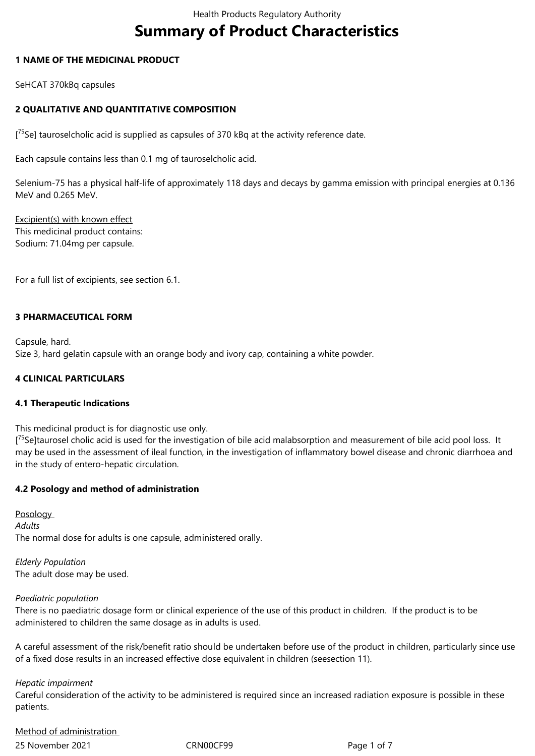# **Summary of Product Characteristics**

## **1 NAME OF THE MEDICINAL PRODUCT**

SeHCAT 370kBq capsules

## **2 QUALITATIVE AND QUANTITATIVE COMPOSITION**

[<sup>75</sup>Se] tauroselcholic acid is supplied as capsules of 370 kBq at the activity reference date.

Each capsule contains less than 0.1 mg of tauroselcholic acid.

Selenium-75 has a physical half-life of approximately 118 days and decays by gamma emission with principal energies at 0.136 MeV and 0.265 MeV.

Excipient(s) with known effect This medicinal product contains: Sodium: 71.04mg per capsule.

For a full list of excipients, see section 6.1.

## **3 PHARMACEUTICAL FORM**

Capsule, hard. Size 3, hard gelatin capsule with an orange body and ivory cap, containing a white powder.

## **4 CLINICAL PARTICULARS**

## **4.1 Therapeutic Indications**

This medicinal product is for diagnostic use only.

[<sup>75</sup>Se]taurosel cholic acid is used for the investigation of bile acid malabsorption and measurement of bile acid pool loss. It may be used in the assessment of ileal function, in the investigation of inflammatory bowel disease and chronic diarrhoea and in the study of entero-hepatic circulation.

## **4.2 Posology and method of administration**

**Posology** *Adults*  The normal dose for adults is one capsule, administered orally.

*Elderly Population*  The adult dose may be used.

## *Paediatric population*

There is no paediatric dosage form or clinical experience of the use of this product in children. If the product is to be administered to children the same dosage as in adults is used.

A careful assessment of the risk/benefit ratio should be undertaken before use of the product in children, particularly since use of a fixed dose results in an increased effective dose equivalent in children (seesection 11).

*Hepatic impairment* 

Careful consideration of the activity to be administered is required since an increased radiation exposure is possible in these patients.

Method of administration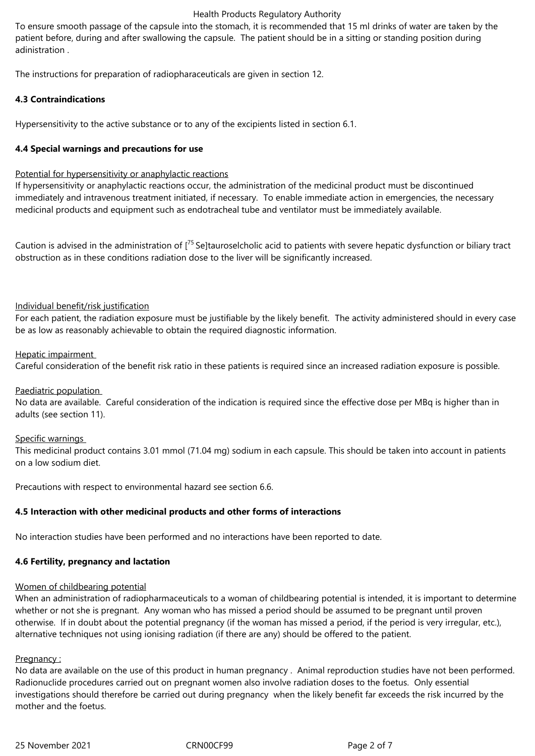## Health Products Regulatory Authority

To ensure smooth passage of the capsule into the stomach, it is recommended that 15 ml drinks of water are taken by the patient before, during and after swallowing the capsule. The patient should be in a sitting or standing position during adinistration .

The instructions for preparation of radiopharaceuticals are given in section 12.

## **4.3 Contraindications**

Hypersensitivity to the active substance or to any of the excipients listed in section 6.1.

## **4.4 Special warnings and precautions for use**

## Potential for hypersensitivity or anaphylactic reactions

If hypersensitivity or anaphylactic reactions occur, the administration of the medicinal product must be discontinued immediately and intravenous treatment initiated, if necessary. To enable immediate action in emergencies, the necessary medicinal products and equipment such as endotracheal tube and ventilator must be immediately available.

Caution is advised in the administration of [<sup>75</sup> Se]tauroselcholic acid to patients with severe hepatic dysfunction or biliary tract obstruction as in these conditions radiation dose to the liver will be significantly increased.

## Individual benefit/risk justification

For each patient, the radiation exposure must be justifiable by the likely benefit. The activity administered should in every case be as low as reasonably achievable to obtain the required diagnostic information.

## Hepatic impairment

Careful consideration of the benefit risk ratio in these patients is required since an increased radiation exposure is possible.

## Paediatric population

No data are available. Careful consideration of the indication is required since the effective dose per MBq is higher than in adults (see section 11).

## Specific warnings

This medicinal product contains 3.01 mmol (71.04 mg) sodium in each capsule. This should be taken into account in patients on a low sodium diet.

Precautions with respect to environmental hazard see section 6.6.

# **4.5 Interaction with other medicinal products and other forms of interactions**

No interaction studies have been performed and no interactions have been reported to date.

# **4.6 Fertility, pregnancy and lactation**

# Women of childbearing potential

When an administration of radiopharmaceuticals to a woman of childbearing potential is intended, it is important to determine whether or not she is pregnant. Any woman who has missed a period should be assumed to be pregnant until proven otherwise. If in doubt about the potential pregnancy (if the woman has missed a period, if the period is very irregular, etc.), alternative techniques not using ionising radiation (if there are any) should be offered to the patient.

## Pregnancy:

No data are available on the use of this product in human pregnancy . Animal reproduction studies have not been performed. Radionuclide procedures carried out on pregnant women also involve radiation doses to the foetus. Only essential investigations should therefore be carried out during pregnancy when the likely benefit far exceeds the risk incurred by the mother and the foetus.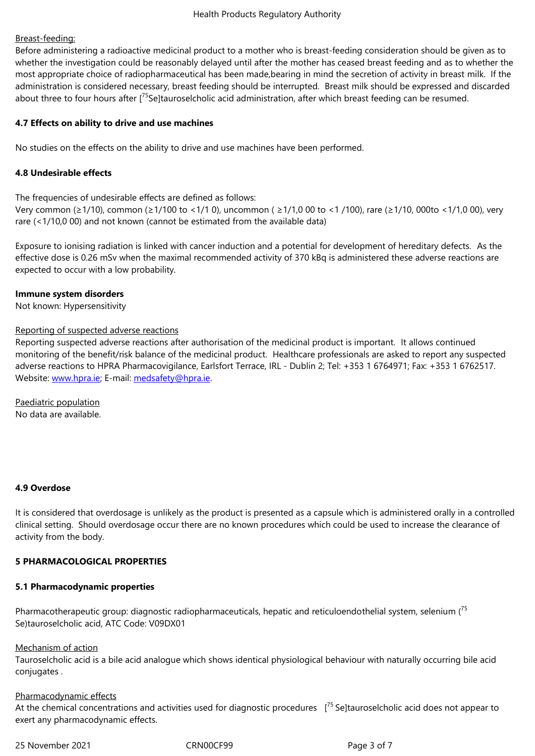Before administering a radioactive medicinal product to a mother who is breast-feeding consideration should be given as to whether the investigation could be reasonably delayed until after the mother has ceased breast feeding and as to whether the most appropriate choice of radiopharmaceutical has been made,bearing in mind the secretion of activity in breast milk. If the administration is considered necessary, breast feeding should be interrupted. Breast milk should be expressed and discarded about three to four hours after [<sup>75</sup>Se]tauroselcholic acid administration, after which breast feeding can be resumed.

## **4.7 Effects on ability to drive and use machines**

No studies on the effects on the ability to drive and use machines have been performed.

## **4.8 Undesirable effects**

The frequencies of undesirable effects are defined as follows: Very common (≥1/10), common (≥1/100 to <1/1 0), uncommon ( ≥1/1,0 00 to <1 /100), rare (≥1/10, 000to <1/1,0 00), very rare (<1/10,0 00) and not known (cannot be estimated from the available data)

Exposure to ionising radiation is linked with cancer induction and a potential for development of hereditary defects. As the effective dose is 0.26 mSv when the maximal recommended activity of 370 kBq is administered these adverse reactions are expected to occur with a low probability.

## **Immune system disorders**

Not known: Hypersensitivity

## Reporting of suspected adverse reactions

Reporting suspected adverse reactions after authorisation of the medicinal product is important. It allows continued monitoring of the benefit/risk balance of the medicinal product. Healthcare professionals are asked to report any suspected adverse reactions to HPRA Pharmacovigilance, Earlsfort Terrace, IRL - Dublin 2; Tel: +353 1 6764971; Fax: +353 1 6762517. Website: www.hpra.ie; E-mail: medsafety@hpra.ie.

Paediatric population No data [are available.](http://www.hpra.ie/)

## **4.9 Overdose**

It is considered that overdosage is unlikely as the product is presented as a capsule which is administered orally in a controlled clinical setting. Should overdosage occur there are no known procedures which could be used to increase the clearance of activity from the body.

## **5 PHARMACOLOGICAL PROPERTIES**

## **5.1 Pharmacodynamic properties**

Pharmacotherapeutic group: diagnostic radiopharmaceuticals, hepatic and reticuloendothelial system, selenium (<sup>75</sup>) Se)tauroselcholic acid, ATC Code: V09DX01

## Mechanism of action

Tauroselcholic acid is a bile acid analogue which shows identical physiological behaviour with naturally occurring bile acid conjugates .

# Pharmacodynamic effects

At the chemical concentrations and activities used for diagnostic procedures  $[<sup>75</sup>$  Se]tauroselcholic acid does not appear to exert any pharmacodynamic effects.

25 November 2021 CRN00CF99 Page 3 of 7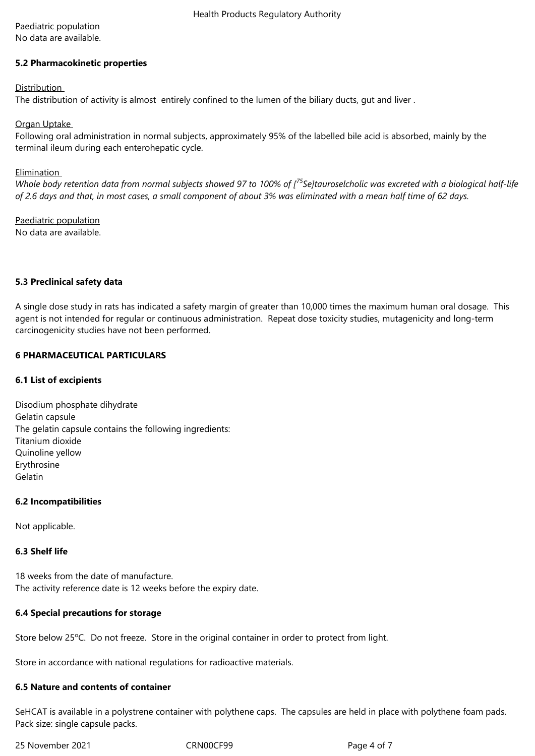# Paediatric population

No data are available.

## **5.2 Pharmacokinetic properties**

## **Distribution**

The distribution of activity is almost entirely confined to the lumen of the biliary ducts, gut and liver .

#### Organ Uptake

Following oral administration in normal subjects, approximately 95% of the labelled bile acid is absorbed, mainly by the terminal ileum during each enterohepatic cycle.

## **Elimination**

*Whole body retention data from normal subjects showed 97 to 100% of [<sup>75</sup>Se]tauroselcholic was excreted with a biological half-life of 2.6 days and that, in most cases, a small component of about 3% was eliminated with a mean half time of 62 days.*

Paediatric population No data are available.

#### **5.3 Preclinical safety data**

A single dose study in rats has indicated a safety margin of greater than 10,000 times the maximum human oral dosage. This agent is not intended for regular or continuous administration. Repeat dose toxicity studies, mutagenicity and long-term carcinogenicity studies have not been performed.

## **6 PHARMACEUTICAL PARTICULARS**

## **6.1 List of excipients**

Disodium phosphate dihydrate Gelatin capsule The gelatin capsule contains the following ingredients: Titanium dioxide Quinoline yellow Erythrosine Gelatin

## **6.2 Incompatibilities**

Not applicable.

## **6.3 Shelf life**

18 weeks from the date of manufacture. The activity reference date is 12 weeks before the expiry date.

## **6.4 Special precautions for storage**

Store below 25°C. Do not freeze. Store in the original container in order to protect from light.

Store in accordance with national regulations for radioactive materials.

## **6.5 Nature and contents of container**

SeHCAT is available in a polystrene container with polythene caps. The capsules are held in place with polythene foam pads. Pack size: single capsule packs.

25 November 2021 CRN00CF99 Page 4 of 7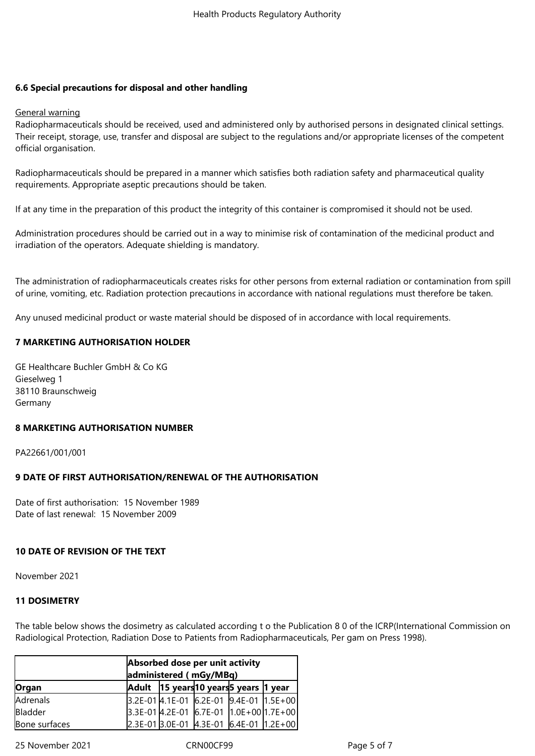## **6.6 Special precautions for disposal and other handling**

#### General warning

Radiopharmaceuticals should be received, used and administered only by authorised persons in designated clinical settings. Their receipt, storage, use, transfer and disposal are subject to the regulations and/or appropriate licenses of the competent official organisation.

Radiopharmaceuticals should be prepared in a manner which satisfies both radiation safety and pharmaceutical quality requirements. Appropriate aseptic precautions should be taken.

If at any time in the preparation of this product the integrity of this container is compromised it should not be used.

Administration procedures should be carried out in a way to minimise risk of contamination of the medicinal product and irradiation of the operators. Adequate shielding is mandatory.

The administration of radiopharmaceuticals creates risks for other persons from external radiation or contamination from spill of urine, vomiting, etc. Radiation protection precautions in accordance with national regulations must therefore be taken.

Any unused medicinal product or waste material should be disposed of in accordance with local requirements.

## **7 MARKETING AUTHORISATION HOLDER**

GE Healthcare Buchler GmbH & Co KG Gieselweg 1 38110 Braunschweig Germany

## **8 MARKETING AUTHORISATION NUMBER**

PA22661/001/001

## **9 DATE OF FIRST AUTHORISATION/RENEWAL OF THE AUTHORISATION**

Date of first authorisation: 15 November 1989 Date of last renewal: 15 November 2009

## **10 DATE OF REVISION OF THE TEXT**

November 2021

## **11 DOSIMETRY**

The table below shows the dosimetry as calculated according t o the Publication 8 0 of the ICRP(International Commission on Radiological Protection, Radiation Dose to Patients from Radiopharmaceuticals, Per gam on Press 1998).

| Absorbed dose per unit activity<br>administered (mGy/MBq) |  |                                             |  |  |  |  |  |  |
|-----------------------------------------------------------|--|---------------------------------------------|--|--|--|--|--|--|
| Organ                                                     |  | Adult  15 years 10 years 5 years  1 year    |  |  |  |  |  |  |
| Adrenals                                                  |  | $3.2E-01$ 4.1E-01 6.2E-01 9.4E-01 1.5E+00   |  |  |  |  |  |  |
| Bladder                                                   |  | $ 3.3E-01 4.2E-01 6.7E-01 1.0E+00 1.7E+00$  |  |  |  |  |  |  |
| Bone surfaces                                             |  | $2.3E-01$ 3.0E-01 $4.3E-01$ 6.4E-01 1.2E+00 |  |  |  |  |  |  |

25 November 2021 CRN00CF99 Page 5 of 7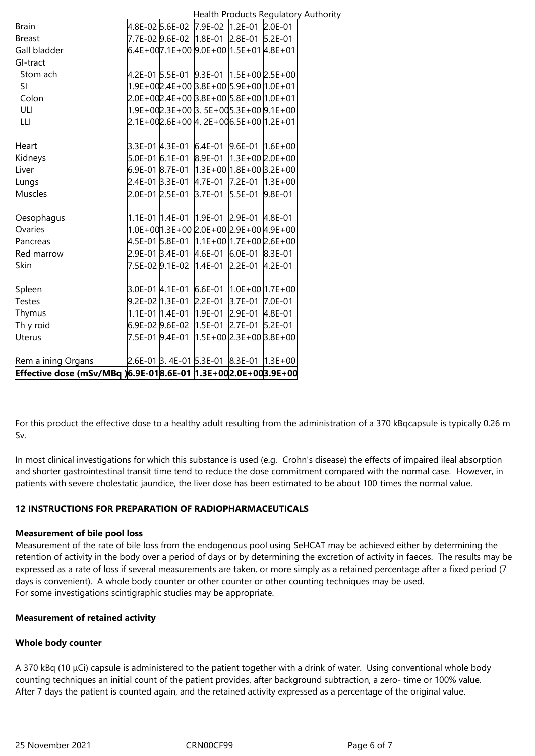|                                                               |  | Health Products Regulatory Authority              |  |  |
|---------------------------------------------------------------|--|---------------------------------------------------|--|--|
| Brain                                                         |  | 4.8E-02 5.6E-02 7.9E-02 1.2E-01 2.0E-01           |  |  |
| <b>Breast</b>                                                 |  | 7.7E-02 9.6E-02 1.8E-01 2.8E-01 5.2E-01           |  |  |
| Gall bladder                                                  |  | $6.4E+007.1E+0099.0E+0011.5E+014.8E+01$           |  |  |
| GI-tract                                                      |  |                                                   |  |  |
| Stom ach                                                      |  | 4.2E-01 5.5E-01 9.3E-01 1.5E+00 2.5E+00           |  |  |
| SI                                                            |  | $[1.9E+00]2.4E+00$ $[3.8E+00]5.9E+00$ $[1.0E+01]$ |  |  |
| Colon                                                         |  | $2.0E+002.4E+00 3.8E+00 5.8E+00 1.0E+01$          |  |  |
| ULI                                                           |  | 1.9E+002.3E+00 3. 5E+005.3E+00 9.1E+00            |  |  |
| LLI.                                                          |  | $2.1E+00Z.6E+00$ $4.2E+006.5E+0012E+01$           |  |  |
| Heart                                                         |  | 3.3E-01 4.3E-01 6.4E-01 9.6E-01 1.6E+00           |  |  |
| Kidneys                                                       |  | 5.0E-01 6.1E-01 8.9E-01 1.3E+00 2.0E+00           |  |  |
| Liver                                                         |  |                                                   |  |  |
| Lungs                                                         |  | 2.4E-01 3.3E-01 4.7E-01 7.2E-01 1.3E+00           |  |  |
| <b>Muscles</b>                                                |  | 2.0E-01 2.5E-01 3.7E-01 5.5E-01 9.8E-01           |  |  |
| Oesophagus                                                    |  | 1.1E-01 1.4E-01 1.9E-01 2.9E-01 4.8E-01           |  |  |
| Ovaries                                                       |  | $[1.0E+001.3E+002.0E+002.9E+004.9E+00]$           |  |  |
| Pancreas                                                      |  | 4.5E-01 5.8E-01 1.1E+00 1.7E+00 2.6E+00           |  |  |
| Red marrow                                                    |  | 2.9E-01 3.4E-01 4.6E-01 6.0E-01 8.3E-01           |  |  |
| Skin                                                          |  | 7.5E-029.1E-02 1.4E-01 2.2E-01 4.2E-01            |  |  |
| Spleen                                                        |  | $3.0E-01$ $4.1E-01$ 6.6E-01 1.0E + 00 1.7E + 00   |  |  |
| Testes                                                        |  | 9.2E-02 1.3E-01 2.2E-01 3.7E-01 7.0E-01           |  |  |
| Thymus                                                        |  | 1.1E-01 1.4E-01 1.9E-01 2.9E-01 4.8E-01           |  |  |
| Th y roid                                                     |  | 6.9E-02 9.6E-02 1.5E-01 2.7E-01 5.2E-01           |  |  |
| Uterus                                                        |  |                                                   |  |  |
| Rem a ining Organs                                            |  | 2.6E-01 3.4E-01 5.3E-01 8.3E-01 1.3E+00           |  |  |
| Effective dose (mSv/MBq )6.9E-018.6E-01 1.3E+002.0E+003.9E+00 |  |                                                   |  |  |

For this product the effective dose to a healthy adult resulting from the administration of a 370 kBqcapsule is typically 0.26 m Sv.

In most clinical investigations for which this substance is used (e.g. Crohn's disease) the effects of impaired ileal absorption and shorter gastrointestinal transit time tend to reduce the dose commitment compared with the normal case. However, in patients with severe cholestatic jaundice, the liver dose has been estimated to be about 100 times the normal value.

## **12 INSTRUCTIONS FOR PREPARATION OF RADIOPHARMACEUTICALS**

## **Measurement of bile pool loss**

Measurement of the rate of bile loss from the endogenous pool using SeHCAT may be achieved either by determining the retention of activity in the body over a period of days or by determining the excretion of activity in faeces. The results may be expressed as a rate of loss if several measurements are taken, or more simply as a retained percentage after a fixed period (7 days is convenient). A whole body counter or other counter or other counting techniques may be used. For some investigations scintigraphic studies may be appropriate.

## **Measurement of retained activity**

## **Whole body counter**

A 370 kBq (10 μCi) capsule is administered to the patient together with a drink of water. Using conventional whole body counting techniques an initial count of the patient provides, after background subtraction, a zero- time or 100% value. After 7 days the patient is counted again, and the retained activity expressed as a percentage of the original value.